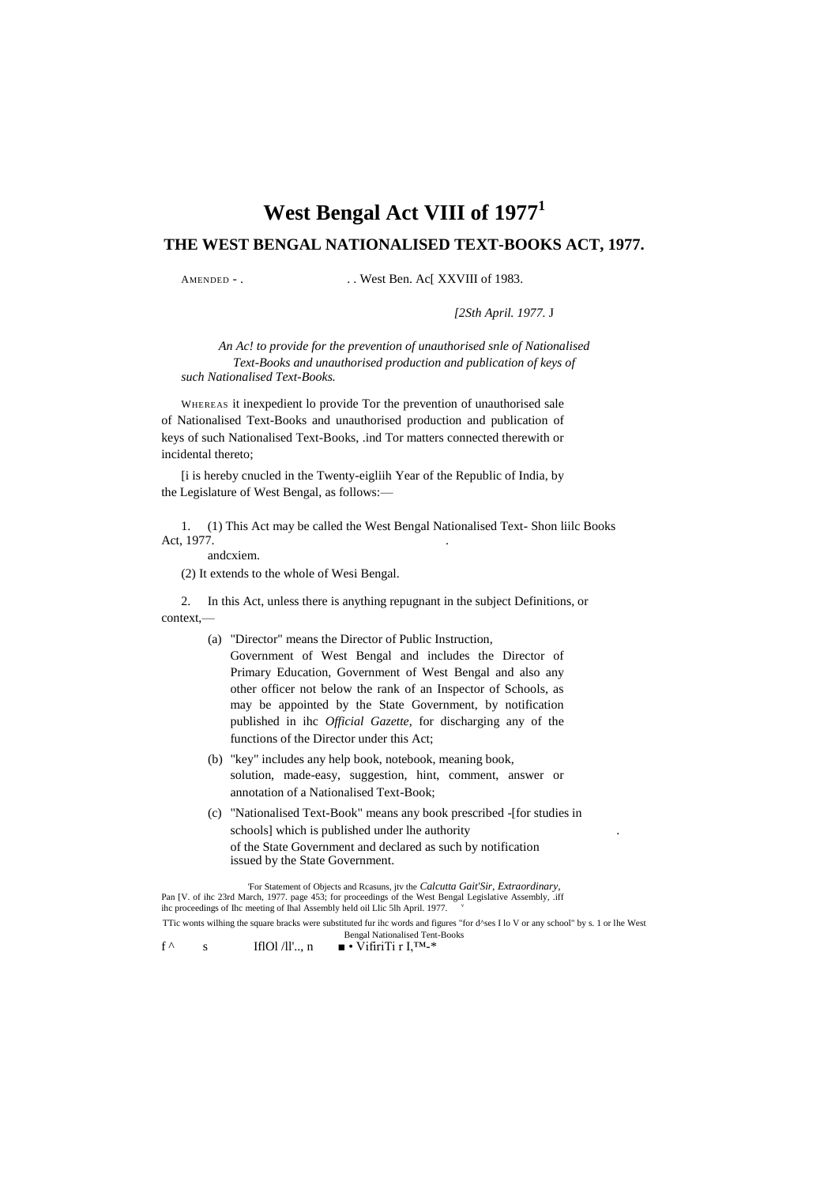# **West Bengal Act VIII of 1977<sup>1</sup>**

## **THE WEST BENGAL NATIONALISED TEXT-BOOKS ACT, 1977.**

AMENDED - . . . West Ben. Ac[ XXVIII of 1983.

*[2Sth April. 1977.* J

*An Ac! to provide for the prevention of unauthorised snle of Nationalised Text-Books and unauthorised production and publication of keys of such Nationalised Text-Books.*

WHEREAS it inexpedient lo provide Tor the prevention of unauthorised sale of Nationalised Text-Books and unauthorised production and publication of keys of such Nationalised Text-Books, .ind Tor matters connected therewith or incidental thereto;

[i is hereby cnucled in the Twenty-eigliih Year of the Republic of India, by the Legislature of West Bengal, as follows:—

1. (1) This Act may be called the West Bengal Nationalised Text- Shon liilc Books Act, 1977.

andcxiem.

(2) It extends to the whole of Wesi Bengal.

2. In this Act, unless there is anything repugnant in the subject Definitions, or  $context$ 

- (a) "Director" means the Director of Public Instruction, Government of West Bengal and includes the Director of Primary Education, Government of West Bengal and also any other officer not below the rank of an Inspector of Schools, as may be appointed by the State Government, by notification published in ihc *Official Gazette,* for discharging any of the functions of the Director under this Act;
- (b) "key" includes any help book, notebook, meaning book, solution, made-easy, suggestion, hint, comment, answer or annotation of a Nationalised Text-Book;
- (c) "Nationalised Text-Book" means any book prescribed -[for studies in schools] which is published under lhe authority of the State Government and declared as such by notification issued by the State Government.

'For Statement of Objects and Rcasuns, jtv the *Calcutta Gait'Sir, Extraordinary,* Pan [V. of ihc 23rd March, 1977. page 453; for proceedings of the West Bengal Legislative Assembly, .iff ihc proceedings of Ihc meeting of Ihal Assembly held oil Llic 5lh April. 1977. TTic wonts wilhing the square bracks were substituted fur ihc words and figures "for d^ses I lo V or any school" by s. 1 or lhe West

Bengal Nationalised Tent-Books

f  $\wedge$  s IflOl /ll'.., n  $\mathbf{v} \cdot \tilde{\mathbf{V}}$ ifiriTi r I,<sup>TM\_\*</sup>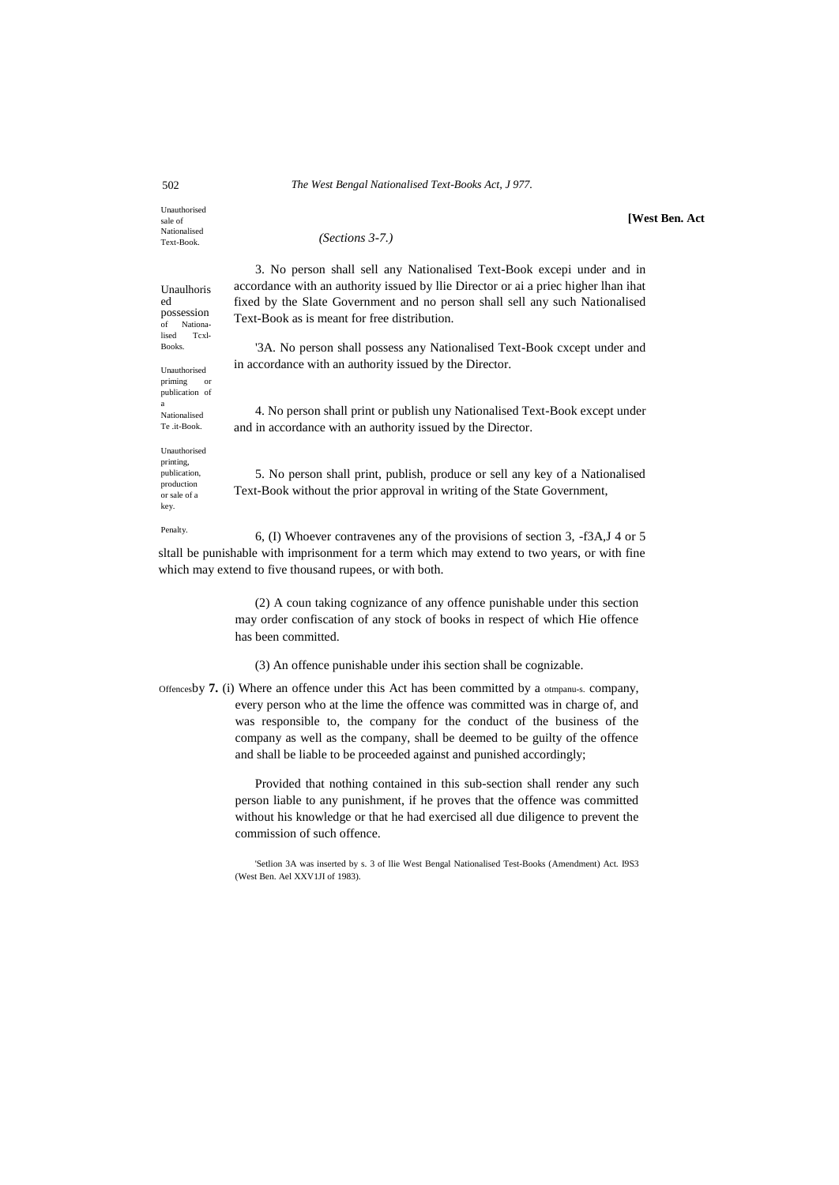#### 502 *The West Bengal Nationalised Text-Books Act, J 977.*

Unauthorised sale of Nationalised Text-Book.

Unaulhoris ed possession of Nationa-<br>lised Tcxl-Tcxl Books.

Unauthorised priming or publication of

a Nationalised Te .it-Book. Unauthorised printing, publication, production or sale of a key.

*(Sections 3-7.)*

**[West Ben. Act**

3. No person shall sell any Nationalised Text-Book excepi under and in accordance with an authority issued by llie Director or ai a priec higher lhan ihat fixed by the Slate Government and no person shall sell any such Nationalised Text-Book as is meant for free distribution.

'3A. No person shall possess any Nationalised Text-Book cxcept under and in accordance with an authority issued by the Director.

4. No person shall print or publish uny Nationalised Text-Book except under and in accordance with an authority issued by the Director.

5. No person shall print, publish, produce or sell any key of a Nationalised Text-Book without the prior approval in writing of the State Government,

Penalty. 6, (I) Whoever contravenes any of the provisions of section 3, -f3A,J 4 or 5 sltall be punishable with imprisonment for a term which may extend to two years, or with fine which may extend to five thousand rupees, or with both.

> (2) A coun taking cognizance of any offence punishable under this section may order confiscation of any stock of books in respect of which Hie offence has been committed.

(3) An offence punishable under ihis section shall be cognizable.

Offencesby **7.** (i) Where an offence under this Act has been committed by a otmpanu-s. company, every person who at the lime the offence was committed was in charge of, and was responsible to, the company for the conduct of the business of the company as well as the company, shall be deemed to be guilty of the offence and shall be liable to be proceeded against and punished accordingly;

> Provided that nothing contained in this sub-section shall render any such person liable to any punishment, if he proves that the offence was committed without his knowledge or that he had exercised all due diligence to prevent the commission of such offence.

> 'Setlion 3A was inserted by s. 3 of llie West Bengal Nationalised Test-Books (Amendment) Act. I9S3 (West Ben. Ael XXV1JI of 1983).